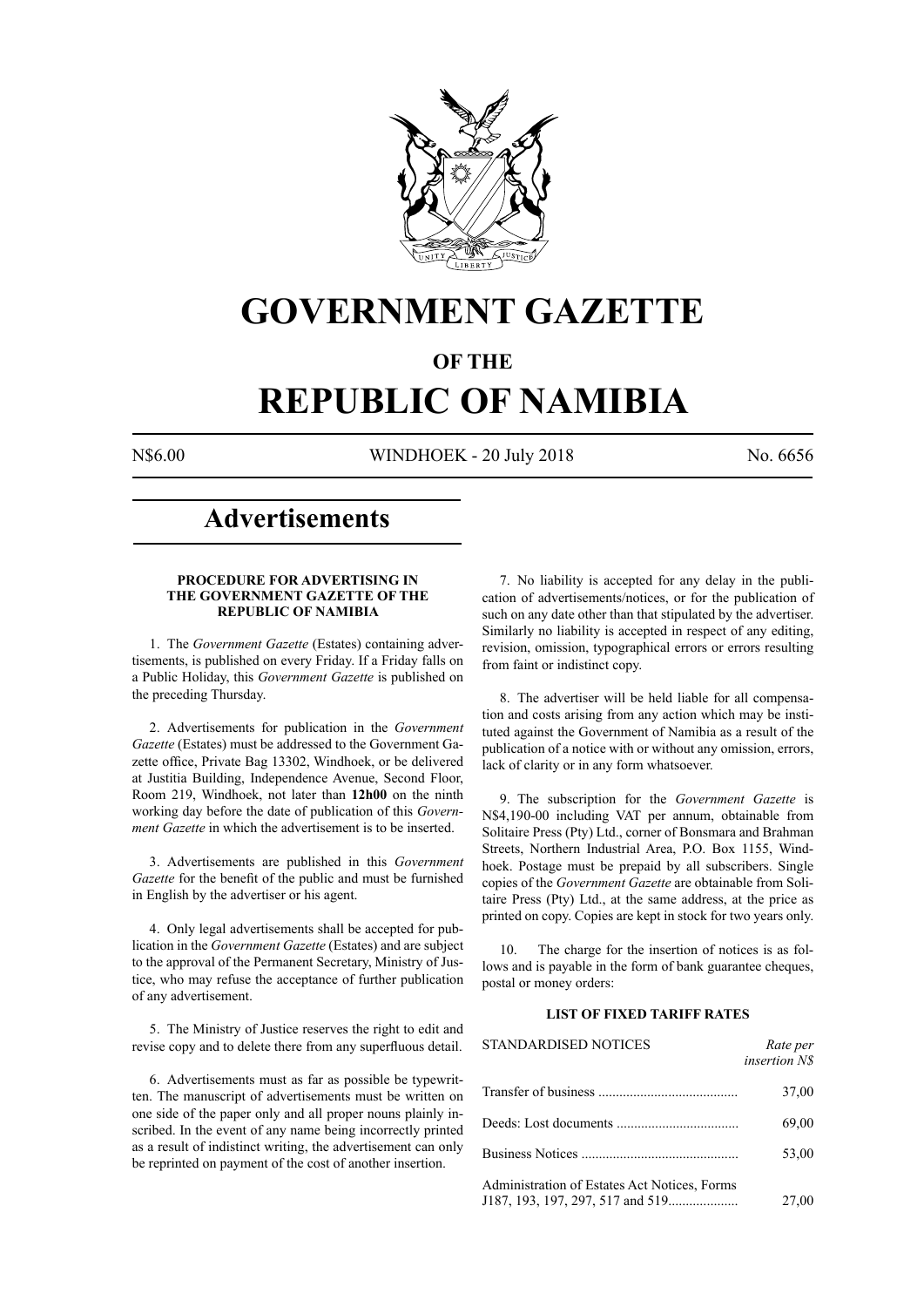

# **GOVERNMENT GAZETTE**

# **OF THE**

# **REPUBLIC OF NAMIBIA**

N\$6.00 WINDHOEK - 20 July 2018 No. 6656

# **Advertisements**

#### **PROCEDURE FOR ADVERTISING IN THE GOVERNMENT GAZETTE OF THE REPUBLIC OF NAMIBIA**

1. The *Government Gazette* (Estates) containing advertisements, is published on every Friday. If a Friday falls on a Public Holiday, this *Government Gazette* is published on the preceding Thursday.

2. Advertisements for publication in the *Government Gazette* (Estates) must be addressed to the Government Gazette office, Private Bag 13302, Windhoek, or be delivered at Justitia Building, Independence Avenue, Second Floor, Room 219, Windhoek, not later than **12h00** on the ninth working day before the date of publication of this *Government Gazette* in which the advertisement is to be inserted.

3. Advertisements are published in this *Government Gazette* for the benefit of the public and must be furnished in English by the advertiser or his agent.

4. Only legal advertisements shall be accepted for publication in the *Government Gazette* (Estates) and are subject to the approval of the Permanent Secretary, Ministry of Justice, who may refuse the acceptance of further publication of any advertisement.

5. The Ministry of Justice reserves the right to edit and revise copy and to delete there from any superfluous detail.

6. Advertisements must as far as possible be typewritten. The manuscript of advertisements must be written on one side of the paper only and all proper nouns plainly inscribed. In the event of any name being incorrectly printed as a result of indistinct writing, the advertisement can only be reprinted on payment of the cost of another insertion.

7. No liability is accepted for any delay in the publication of advertisements/notices, or for the publication of such on any date other than that stipulated by the advertiser. Similarly no liability is accepted in respect of any editing, revision, omission, typographical errors or errors resulting from faint or indistinct copy.

8. The advertiser will be held liable for all compensation and costs arising from any action which may be instituted against the Government of Namibia as a result of the publication of a notice with or without any omission, errors, lack of clarity or in any form whatsoever.

9. The subscription for the *Government Gazette* is N\$4,190-00 including VAT per annum, obtainable from Solitaire Press (Pty) Ltd., corner of Bonsmara and Brahman Streets, Northern Industrial Area, P.O. Box 1155, Windhoek. Postage must be prepaid by all subscribers. Single copies of the *Government Gazette* are obtainable from Solitaire Press (Pty) Ltd., at the same address, at the price as printed on copy. Copies are kept in stock for two years only.

10. The charge for the insertion of notices is as follows and is payable in the form of bank guarantee cheques, postal or money orders:

# **LIST OF FIXED TARIFF RATES**

| <b>STANDARDISED NOTICES</b>                  | Rate per<br><i>insertion NS</i> |
|----------------------------------------------|---------------------------------|
|                                              | 37,00                           |
|                                              | 69,00                           |
|                                              | 53,00                           |
| Administration of Estates Act Notices, Forms | 27,00                           |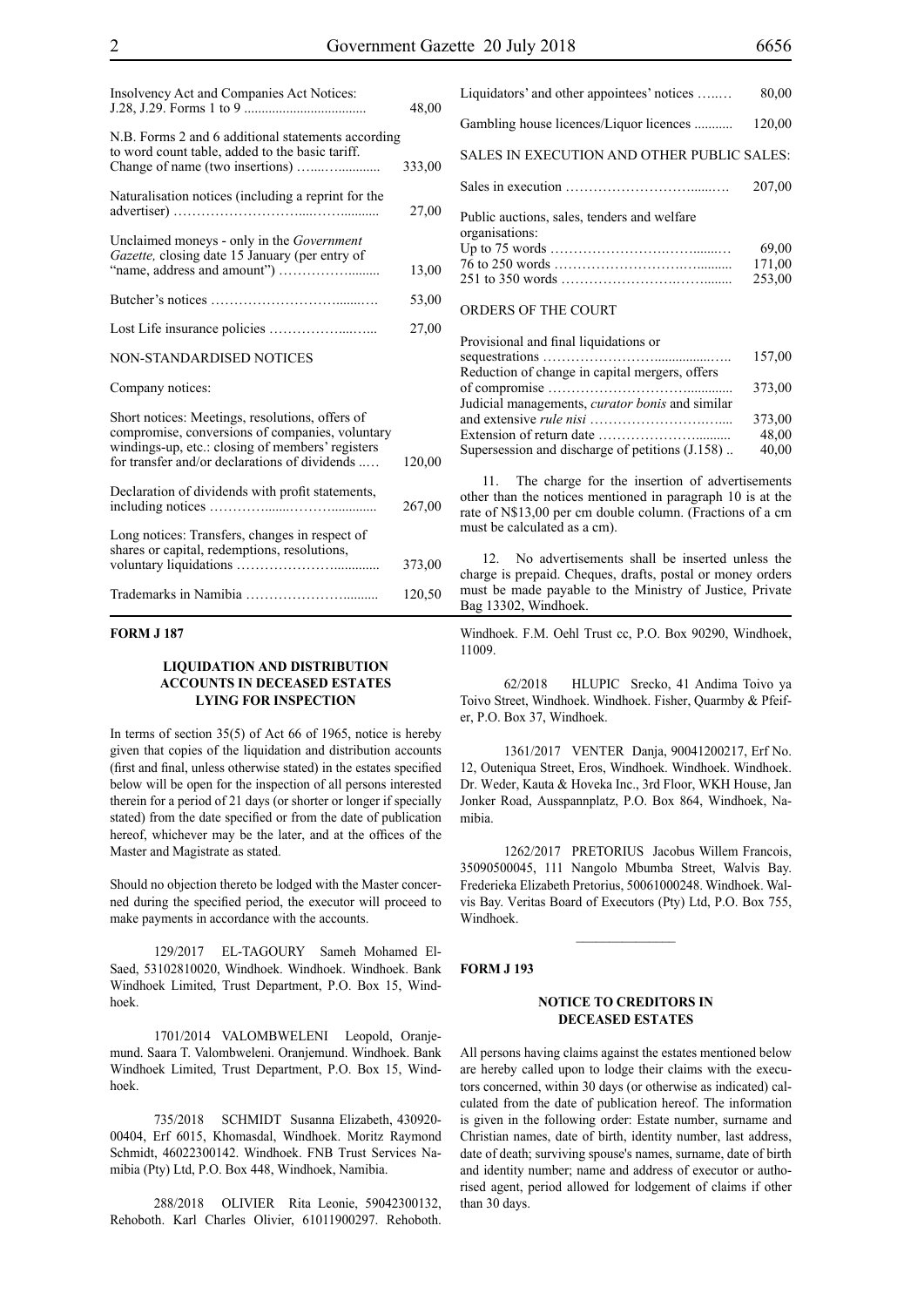| Insolvency Act and Companies Act Notices:                                                                                                              | 48,00  |
|--------------------------------------------------------------------------------------------------------------------------------------------------------|--------|
| N.B. Forms 2 and 6 additional statements according<br>to word count table, added to the basic tariff.                                                  | 333,00 |
|                                                                                                                                                        |        |
| Naturalisation notices (including a reprint for the                                                                                                    | 27,00  |
| Unclaimed moneys - only in the <i>Government</i><br>Gazette, closing date 15 January (per entry of                                                     |        |
|                                                                                                                                                        | 13,00  |
|                                                                                                                                                        | 53,00  |
|                                                                                                                                                        | 27,00  |
| NON-STANDARDISED NOTICES                                                                                                                               |        |
| Company notices:                                                                                                                                       |        |
| Short notices: Meetings, resolutions, offers of<br>compromise, conversions of companies, voluntary<br>windings-up, etc.: closing of members' registers |        |
| for transfer and/or declarations of dividends                                                                                                          | 120,00 |
| Declaration of dividends with profit statements,                                                                                                       | 267,00 |
| Long notices: Transfers, changes in respect of<br>shares or capital, redemptions, resolutions,                                                         |        |
|                                                                                                                                                        | 373,00 |
|                                                                                                                                                        | 120,50 |

#### **FORM J 187**

#### **LIQUIDATION AND DISTRIBUTION ACCOUNTS IN DECEASED ESTATES LYING FOR INSPECTION**

In terms of section 35(5) of Act 66 of 1965, notice is hereby given that copies of the liquidation and distribution accounts (first and final, unless otherwise stated) in the estates specified below will be open for the inspection of all persons interested therein for a period of 21 days (or shorter or longer if specially stated) from the date specified or from the date of publication hereof, whichever may be the later, and at the offices of the Master and Magistrate as stated.

Should no objection thereto be lodged with the Master concerned during the specified period, the executor will proceed to make payments in accordance with the accounts.

129/2017 EL-TAGOURY Sameh Mohamed El-Saed, 53102810020, Windhoek. Windhoek. Windhoek. Bank Windhoek Limited, Trust Department, P.O. Box 15, Windhoek.

1701/2014 VALOMBWELENI Leopold, Oranjemund. Saara T. Valombweleni. Oranjemund. Windhoek. Bank Windhoek Limited, Trust Department, P.O. Box 15, Windhoek.

735/2018 SCHMIDT Susanna Elizabeth, 430920- 00404, Erf 6015, Khomasdal, Windhoek. Moritz Raymond Schmidt, 46022300142. Windhoek. FNB Trust Services Namibia (Pty) Ltd, P.O. Box 448, Windhoek, Namibia.

288/2018 OLIVIER Rita Leonie, 59042300132, Rehoboth. Karl Charles Olivier, 61011900297. Rehoboth.

| Liquidators' and other appointees' notices                                                                              | 80,00                     |
|-------------------------------------------------------------------------------------------------------------------------|---------------------------|
| Gambling house licences/Liquor licences                                                                                 | 120,00                    |
| SALES IN EXECUTION AND OTHER PUBLIC SALES:                                                                              |                           |
|                                                                                                                         | 207,00                    |
| Public auctions, sales, tenders and welfare<br>organisations:<br><b>ORDERS OF THE COURT</b>                             | 69,00<br>171,00<br>253,00 |
| Provisional and final liquidations or<br>Reduction of change in capital mergers, offers                                 | 157,00                    |
| Judicial managements, curator bonis and similar<br>Extension of return date $\dots \dots \dots \dots \dots \dots \dots$ | 373,00<br>373,00<br>48.00 |
|                                                                                                                         |                           |

11. The charge for the insertion of advertisements other than the notices mentioned in paragraph 10 is at the rate of N\$13,00 per cm double column. (Fractions of a cm must be calculated as a cm).

Supersession and discharge of petitions (J.158) .. 40,00

12. No advertisements shall be inserted unless the charge is prepaid. Cheques, drafts, postal or money orders must be made payable to the Ministry of Justice, Private Bag 13302, Windhoek.

Windhoek. F.M. Oehl Trust cc, P.O. Box 90290, Windhoek, 11009.

62/2018 HLUPIC Srecko, 41 Andima Toivo ya Toivo Street, Windhoek. Windhoek. Fisher, Quarmby & Pfeifer, P.O. Box 37, Windhoek.

1361/2017 VENTER Danja, 90041200217, Erf No. 12, Outeniqua Street, Eros, Windhoek. Windhoek. Windhoek. Dr. Weder, Kauta & Hoveka Inc., 3rd Floor, WKH House, Jan Jonker Road, Ausspannplatz, P.O. Box 864, Windhoek, Namibia.

1262/2017 PRETORIUS Jacobus Willem Francois, 35090500045, 111 Nangolo Mbumba Street, Walvis Bay. Frederieka Elizabeth Pretorius, 50061000248. Windhoek. Walvis Bay. Veritas Board of Executors (Pty) Ltd, P.O. Box 755, Windhoek.

#### **FORM J 193**

#### **NOTICE TO CREDITORS IN DECEASED ESTATES**

All persons having claims against the estates mentioned below are hereby called upon to lodge their claims with the executors concerned, within 30 days (or otherwise as indicated) calculated from the date of publication hereof. The information is given in the following order: Estate number, surname and Christian names, date of birth, identity number, last address, date of death; surviving spouse's names, surname, date of birth and identity number; name and address of executor or authorised agent, period allowed for lodgement of claims if other than 30 days.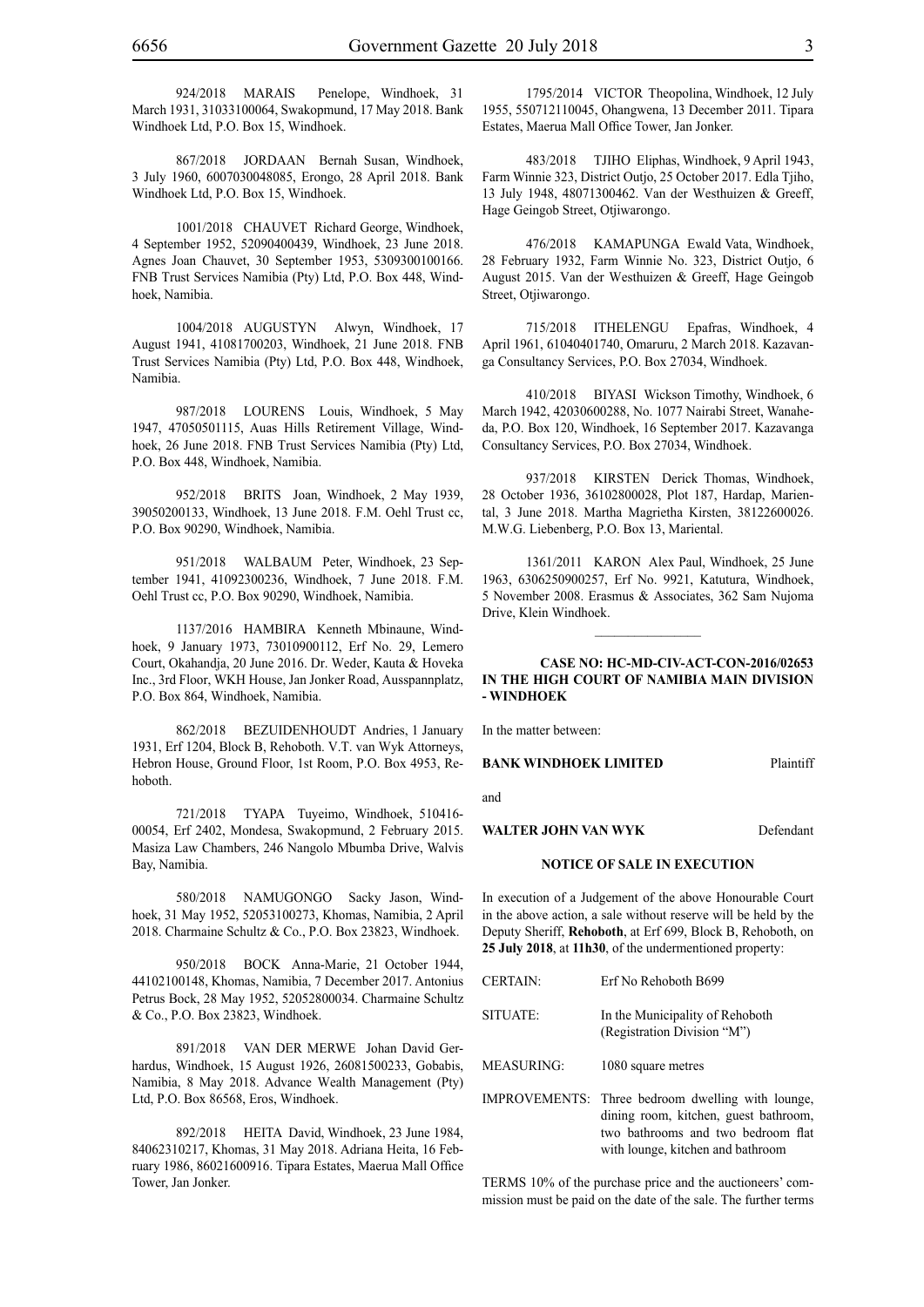924/2018 MARAIS Penelope, Windhoek, 31 March 1931, 31033100064, Swakopmund, 17 May 2018. Bank Windhoek Ltd, P.O. Box 15, Windhoek.

867/2018 JORDAAN Bernah Susan, Windhoek, 3 July 1960, 6007030048085, Erongo, 28 April 2018. Bank Windhoek Ltd, P.O. Box 15, Windhoek.

1001/2018 CHAUVET Richard George, Windhoek, 4 September 1952, 52090400439, Windhoek, 23 June 2018. Agnes Joan Chauvet, 30 September 1953, 5309300100166. FNB Trust Services Namibia (Pty) Ltd, P.O. Box 448, Windhoek, Namibia.

1004/2018 AUGUSTYN Alwyn, Windhoek, 17 August 1941, 41081700203, Windhoek, 21 June 2018. FNB Trust Services Namibia (Pty) Ltd, P.O. Box 448, Windhoek, Namibia.

987/2018 LOURENS Louis, Windhoek, 5 May 1947, 47050501115, Auas Hills Retirement Village, Windhoek, 26 June 2018. FNB Trust Services Namibia (Pty) Ltd, P.O. Box 448, Windhoek, Namibia.

952/2018 BRITS Joan, Windhoek, 2 May 1939, 39050200133, Windhoek, 13 June 2018. F.M. Oehl Trust cc, P.O. Box 90290, Windhoek, Namibia.

951/2018 WALBAUM Peter, Windhoek, 23 September 1941, 41092300236, Windhoek, 7 June 2018. F.M. Oehl Trust cc, P.O. Box 90290, Windhoek, Namibia.

1137/2016 HAMBIRA Kenneth Mbinaune, Windhoek, 9 January 1973, 73010900112, Erf No. 29, Lemero Court, Okahandja, 20 June 2016. Dr. Weder, Kauta & Hoveka Inc., 3rd Floor, WKH House, Jan Jonker Road, Ausspannplatz, P.O. Box 864, Windhoek, Namibia.

862/2018 BEZUIDENHOUDT Andries, 1 January 1931, Erf 1204, Block B, Rehoboth. V.T. van Wyk Attorneys, Hebron House, Ground Floor, 1st Room, P.O. Box 4953, Rehoboth.

721/2018 TYAPA Tuyeimo, Windhoek, 510416-00054, Erf 2402, Mondesa, Swakopmund, 2 February 2015. Masiza Law Chambers, 246 Nangolo Mbumba Drive, Walvis Bay, Namibia.

580/2018 NAMUGONGO Sacky Jason, Windhoek, 31 May 1952, 52053100273, Khomas, Namibia, 2 April 2018. Charmaine Schultz & Co., P.O. Box 23823, Windhoek.

950/2018 BOCK Anna-Marie, 21 October 1944, 44102100148, Khomas, Namibia, 7 December 2017. Antonius Petrus Bock, 28 May 1952, 52052800034. Charmaine Schultz & Co., P.O. Box 23823, Windhoek.

891/2018 VAN DER MERWE Johan David Gerhardus, Windhoek, 15 August 1926, 26081500233, Gobabis, Namibia, 8 May 2018. Advance Wealth Management (Pty) Ltd, P.O. Box 86568, Eros, Windhoek.

892/2018 HEITA David, Windhoek, 23 June 1984, 84062310217, Khomas, 31 May 2018. Adriana Heita, 16 February 1986, 86021600916. Tipara Estates, Maerua Mall Office Tower, Jan Jonker.

1795/2014 VICTOR Theopolina, Windhoek, 12 July 1955, 550712110045, Ohangwena, 13 December 2011. Tipara Estates, Maerua Mall Office Tower, Jan Jonker.

483/2018 TJIHO Eliphas, Windhoek, 9 April 1943, Farm Winnie 323, District Outjo, 25 October 2017. Edla Tjiho, 13 July 1948, 48071300462. Van der Westhuizen & Greeff, Hage Geingob Street, Otjiwarongo.

476/2018 KAMAPUNGA Ewald Vata, Windhoek, 28 February 1932, Farm Winnie No. 323, District Outjo, 6 August 2015. Van der Westhuizen & Greeff, Hage Geingob Street, Otjiwarongo.

715/2018 ITHELENGU Epafras, Windhoek, 4 April 1961, 61040401740, Omaruru, 2 March 2018. Kazavanga Consultancy Services, P.O. Box 27034, Windhoek.

410/2018 BIYASI Wickson Timothy, Windhoek, 6 March 1942, 42030600288, No. 1077 Nairabi Street, Wanaheda, P.O. Box 120, Windhoek, 16 September 2017. Kazavanga Consultancy Services, P.O. Box 27034, Windhoek.

937/2018 KIRSTEN Derick Thomas, Windhoek, 28 October 1936, 36102800028, Plot 187, Hardap, Mariental, 3 June 2018. Martha Magrietha Kirsten, 38122600026. M.W.G. Liebenberg, P.O. Box 13, Mariental.

1361/2011 KARON Alex Paul, Windhoek, 25 June 1963, 6306250900257, Erf No. 9921, Katutura, Windhoek, 5 November 2008. Erasmus & Associates, 362 Sam Nujoma Drive, Klein Windhoek.

 $\frac{1}{2}$ 

#### **CASE NO: HC-MD-CIV-ACT-CON-2016/02653 IN THE HIGH COURT OF NAMIBIA MAIN DIVISION - WINDHOEK**

In the matter between:

#### **BANK WINDHOEK LIMITED** Plaintiff

and

#### WALTER JOHN VAN WYK<br>Defendant

# **NOTICE OF SALE IN EXECUTION**

In execution of a Judgement of the above Honourable Court in the above action, a sale without reserve will be held by the Deputy Sheriff, **Rehoboth**, at Erf 699, Block B, Rehoboth, on **25 July 2018**, at **11h30**, of the undermentioned property:

| <b>CERTAIN:</b> | Erf No Rehoboth B699                                                                                                             |
|-----------------|----------------------------------------------------------------------------------------------------------------------------------|
| SITUATE:        | In the Municipality of Rehoboth<br>(Registration Division "M")                                                                   |
| MEASURING:      | 1080 square metres                                                                                                               |
|                 | IMPROVEMENTS: Three bedroom dwelling with lounge,<br>dining room, kitchen, guest bathroom,<br>two bathrooms and two bedroom flat |

TERMS 10% of the purchase price and the auctioneers' commission must be paid on the date of the sale. The further terms

with lounge, kitchen and bathroom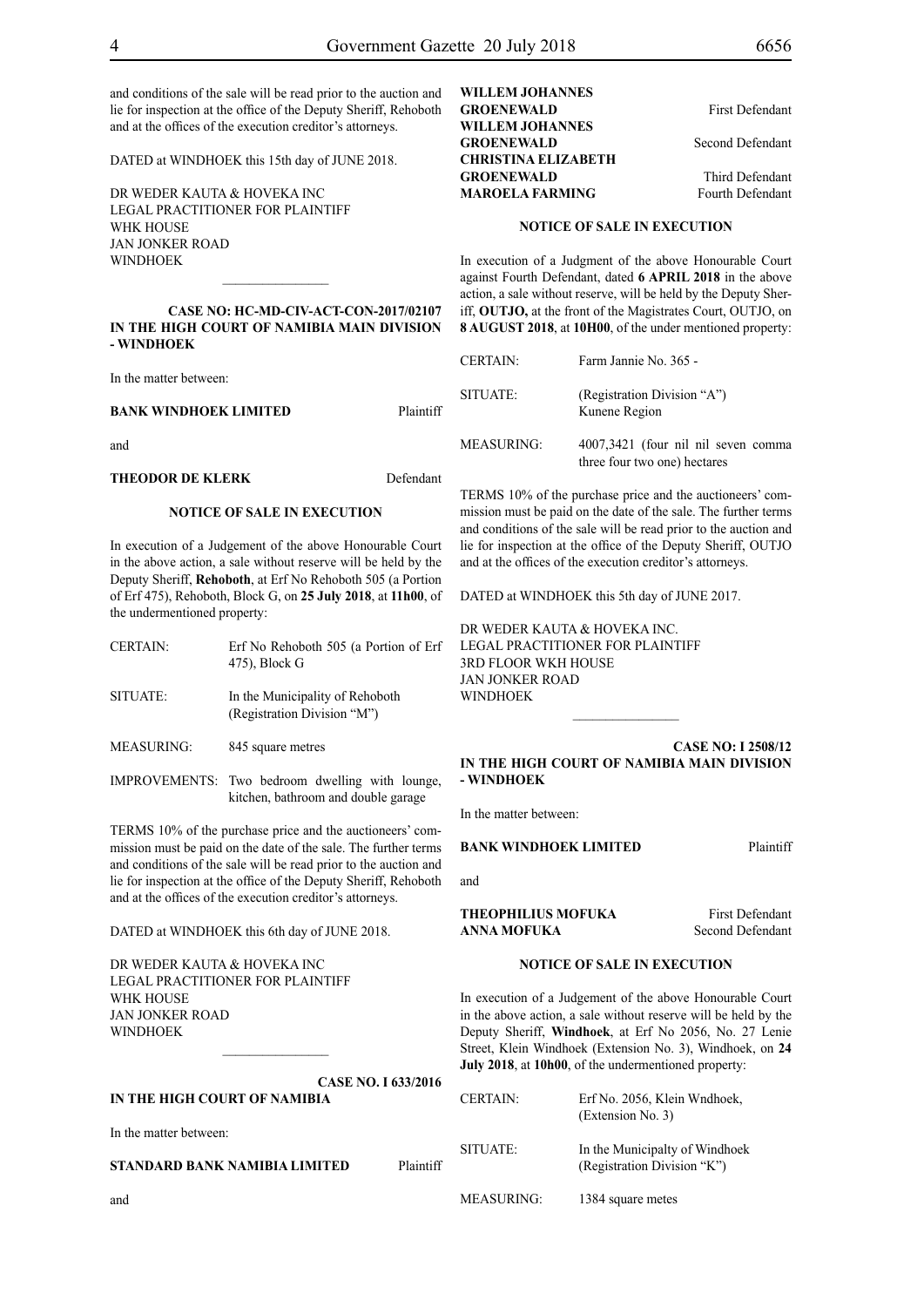and conditions of the sale will be read prior to the auction and lie for inspection at the office of the Deputy Sheriff, Rehoboth and at the offices of the execution creditor's attorneys.

DATED at WINDHOEK this 15th day of JUNE 2018.

DR WEDER KAUTA & HOVEKA INC Legal Practitioner for Plaintiff WHK HOUSE Jan Jonker Road WINDHOEK

**CASE NO: HC-MD-CIV-ACT-CON-2017/02107 IN THE HIGH COURT OF NAMIBIA MAIN DIVISION - WINDHOEK**

 $\frac{1}{2}$ 

In the matter between:

#### **BANK WINDHOEK LIMITED** Plaintiff

and

#### **THEODOR DE KLERK** Defendant

#### **NOTICE OF SALE IN EXECUTION**

In execution of a Judgement of the above Honourable Court in the above action, a sale without reserve will be held by the Deputy Sheriff, **Rehoboth**, at Erf No Rehoboth 505 (a Portion of Erf 475), Rehoboth, Block G, on **25 July 2018**, at **11h00**, of the undermentioned property:

| <b>CERTAIN:</b>   | Erf No Rehoboth 505 (a Portion of Erf<br>475), Block G         |
|-------------------|----------------------------------------------------------------|
| SITUATE:          | In the Municipality of Rehoboth<br>(Registration Division "M") |
| <b>MEASURING:</b> | 845 square metres                                              |
|                   |                                                                |

IMPROVEMENTS: Two bedroom dwelling with lounge, kitchen, bathroom and double garage

TERMS 10% of the purchase price and the auctioneers' commission must be paid on the date of the sale. The further terms and conditions of the sale will be read prior to the auction and lie for inspection at the office of the Deputy Sheriff, Rehoboth and at the offices of the execution creditor's attorneys.

DATED at WINDHOEK this 6th day of JUNE 2018.

DR WEDER KAUTA & HOVEKA INC Legal Practitioner for Plaintiff WHK HOUSE Jan Jonker Road WINDHOEK

**CASE NO. I 633/2016 IN THE HIGH COURT OF NAMIBIA** 

 $\frac{1}{2}$ 

In the matter between:

and

**STANDARD BANK NAMIBIA LIMITED** Plaintiff

**WILLEM JOHANNES**  GROENEWALD First Defendant **WILLEM JOHANNES**  GROENEWALD Second Defendant **CHRISTINA ELIZABETH**  GROENEWALD Third Defendant **MAROELA FARMING** Fourth Defendant

#### **NOTICE OF SALE IN EXECUTION**

In execution of a Judgment of the above Honourable Court against Fourth Defendant, dated **6 APRIL 2018** in the above action, a sale without reserve, will be held by the Deputy Sheriff, **OUTJO,** at the front of the Magistrates Court, OUTJO, on **8 AUGUST 2018**, at **10H00**, of the under mentioned property:

| <b>CERTAIN:</b> | Farm Jannie No. 365 -                                               |
|-----------------|---------------------------------------------------------------------|
| SITUATE:        | (Registration Division "A")<br>Kunene Region                        |
| MEASURING:      | 4007,3421 (four nil nil seven comma<br>three four two one) hectares |

TERMS 10% of the purchase price and the auctioneers' commission must be paid on the date of the sale. The further terms and conditions of the sale will be read prior to the auction and lie for inspection at the office of the Deputy Sheriff, OUTJO and at the offices of the execution creditor's attorneys.

DATED at WINDHOEK this 5th day of JUNE 2017.

DR WEDER KAUTA & HOVEKA INC. Legal Practitioner for Plaintiff 3rd Floor WKH House Jan Jonker Road WINDHOEK  $\frac{1}{2}$ 

#### **CASE NO: I 2508/12 IN THE HIGH COURT OF NAMIBIA MAIN DIVISION - WINDHOEK**

In the matter between:

#### **BANK WINDHOEK LIMITED** Plaintiff

and

| THEOPHILIUS MOFUKA | <b>First Defendant</b> |
|--------------------|------------------------|
| ANNA MOFUKA        | Second Defendant       |

# **NOTICE OF SALE IN EXECUTION**

In execution of a Judgement of the above Honourable Court in the above action, a sale without reserve will be held by the Deputy Sheriff, **Windhoek**, at Erf No 2056, No. 27 Lenie Street, Klein Windhoek (Extension No. 3), Windhoek, on **24 July 2018**, at **10h00**, of the undermentioned property:

| <b>CERTAIN:</b>   | Erf No. 2056, Klein Wndhoek,<br>(Extension No. 3)             |
|-------------------|---------------------------------------------------------------|
| SITUATE:          | In the Municipalty of Windhoek<br>(Registration Division "K") |
| <b>MEASURING:</b> | 1384 square metes                                             |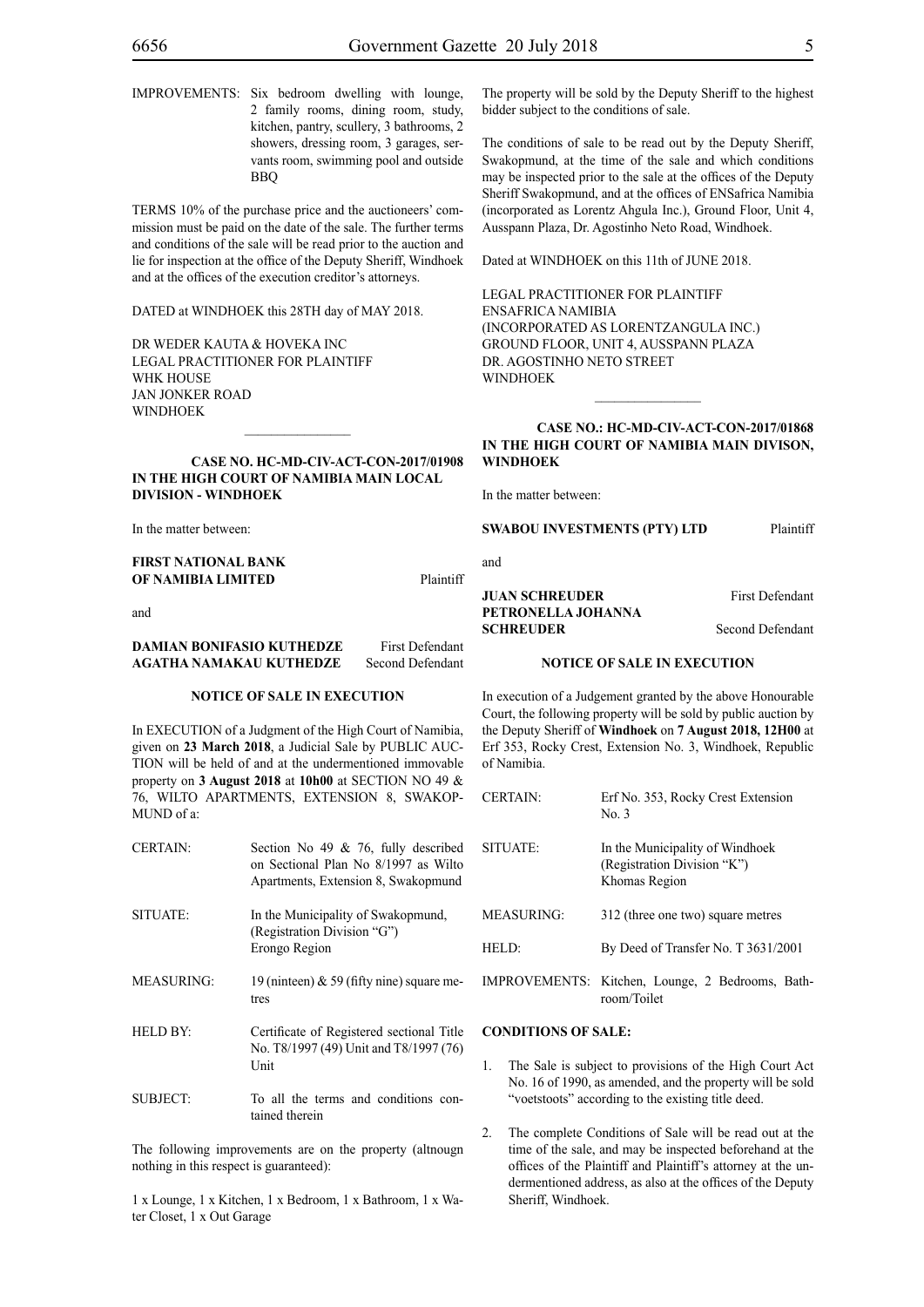IMPROVEMENTS: Six bedroom dwelling with lounge, 2 family rooms, dining room, study, kitchen, pantry, scullery, 3 bathrooms, 2 showers, dressing room, 3 garages, servants room, swimming pool and outside BBQ

TERMS 10% of the purchase price and the auctioneers' commission must be paid on the date of the sale. The further terms and conditions of the sale will be read prior to the auction and lie for inspection at the office of the Deputy Sheriff, Windhoek and at the offices of the execution creditor's attorneys.

DATED at WINDHOEK this 28TH day of MAY 2018.

DR WEDER KAUTA & HOVEKA INC Legal Practitioner for Plaintiff WHK HOUSE Jan Jonker Road WINDHOEK

#### **CASE NO. HC-MD-CIV-ACT-CON-2017/01908 IN THE HIGH COURT OF NAMIBIA MAIN LOCAL DIVISION - WINDHOEK**

 $\mathcal{L}=\mathcal{L}^{\mathcal{L}}$ 

In the matter between:

**FIRST NATIONAL BANK OF NAMIBIA LIMITED** Plaintiff

and

# **DAMIAN BONIFASIO KUTHEDZE** First Defendant **AGATHA NAMAKAU KUTHEDZE** Second Defendant

#### **NOTICE OF SALE IN EXECUTION**

In EXECUTION of a Judgment of the High Court of Namibia, given on **23 March 2018**, a Judicial Sale by PUBLIC AUC-TION will be held of and at the undermentioned immovable property on **3 August 2018** at **10h00** at SECTION NO 49 & 76, WILTO APARTMENTS, EXTENSION 8, SWAKOP-MUND of a:

| <b>CERTAIN:</b> | Section No 49 $\&$ 76, fully described<br>on Sectional Plan No 8/1997 as Wilto<br>Apartments, Extension 8, Swakopmund |
|-----------------|-----------------------------------------------------------------------------------------------------------------------|
| SITUATE:        | In the Municipality of Swakopmund,<br>(Registration Division "G")<br>Erongo Region                                    |
| MEASURING:      | 19 (ninteen) $\&$ 59 (fifty nine) square me-<br>tres                                                                  |
| <b>HELD BY:</b> | Certificate of Registered sectional Title<br>No. T8/1997 (49) Unit and T8/1997 (76)<br>Unit                           |
| SUBJECT:        | To all the terms and conditions con-<br>tained therein                                                                |

The following improvements are on the property (altnougn nothing in this respect is guaranteed):

1 x Lounge, 1 x Kitchen, 1 x Bedroom, 1 x Bathroom, 1 x Water Closet, 1 x Out Garage

The property will be sold by the Deputy Sheriff to the highest bidder subject to the conditions of sale.

The conditions of sale to be read out by the Deputy Sheriff, Swakopmund, at the time of the sale and which conditions may be inspected prior to the sale at the offices of the Deputy Sheriff Swakopmund, and at the offices of ENSafrica Namibia (incorporated as Lorentz Ahgula Inc.), Ground Floor, Unit 4, Ausspann Plaza, Dr. Agostinho Neto Road, Windhoek.

Dated at WINDHOEK on this 11th of JUNE 2018.

Legal Practitioner for Plaintiff ENSafrica Namibia (incorporated as LorentzAngula Inc.) Ground Floor, Unit 4, Ausspann Plaza Dr. Agostinho Neto Street WINDHOEK

# **CASE NO.: HC-MD-CIV-ACT-CON-2017/01868 IN THE HIGH COURT OF NAMIBIA MAIN DIVISON, WINDHOEK**

 $\frac{1}{2}$ 

In the matter between:

#### **SWABOU INVESTMENTS (PTY) LTD** Plaintiff

and

#### **JUAN SCHREUDER** First Defendant **PETRONELLA JOHANNA SCHREUDER** Second Defendant

#### **NOTICE OF SALE IN EXECUTION**

In execution of a Judgement granted by the above Honourable Court, the following property will be sold by public auction by the Deputy Sheriff of **Windhoek** on **7 August 2018, 12H00** at Erf 353, Rocky Crest, Extension No. 3, Windhoek, Republic of Namibia.

| <b>CERTAIN:</b>   | Erf No. 353, Rocky Crest Extension<br>No. 3                                     |
|-------------------|---------------------------------------------------------------------------------|
| SITUATE:          | In the Municipality of Windhoek<br>(Registration Division "K")<br>Khomas Region |
| <b>MEASURING:</b> | 312 (three one two) square metres                                               |
| HELD:             | By Deed of Transfer No. T 3631/2001                                             |
|                   | IMPROVEMENTS: Kitchen, Lounge, 2 Bedrooms, Bath-<br>room/Toilet                 |

## **CONDITIONS OF SALE:**

- 1. The Sale is subject to provisions of the High Court Act No. 16 of 1990, as amended, and the property will be sold "voetstoots" according to the existing title deed.
- The complete Conditions of Sale will be read out at the time of the sale, and may be inspected beforehand at the offices of the Plaintiff and Plaintiff's attorney at the undermentioned address, as also at the offices of the Deputy Sheriff, Windhoek.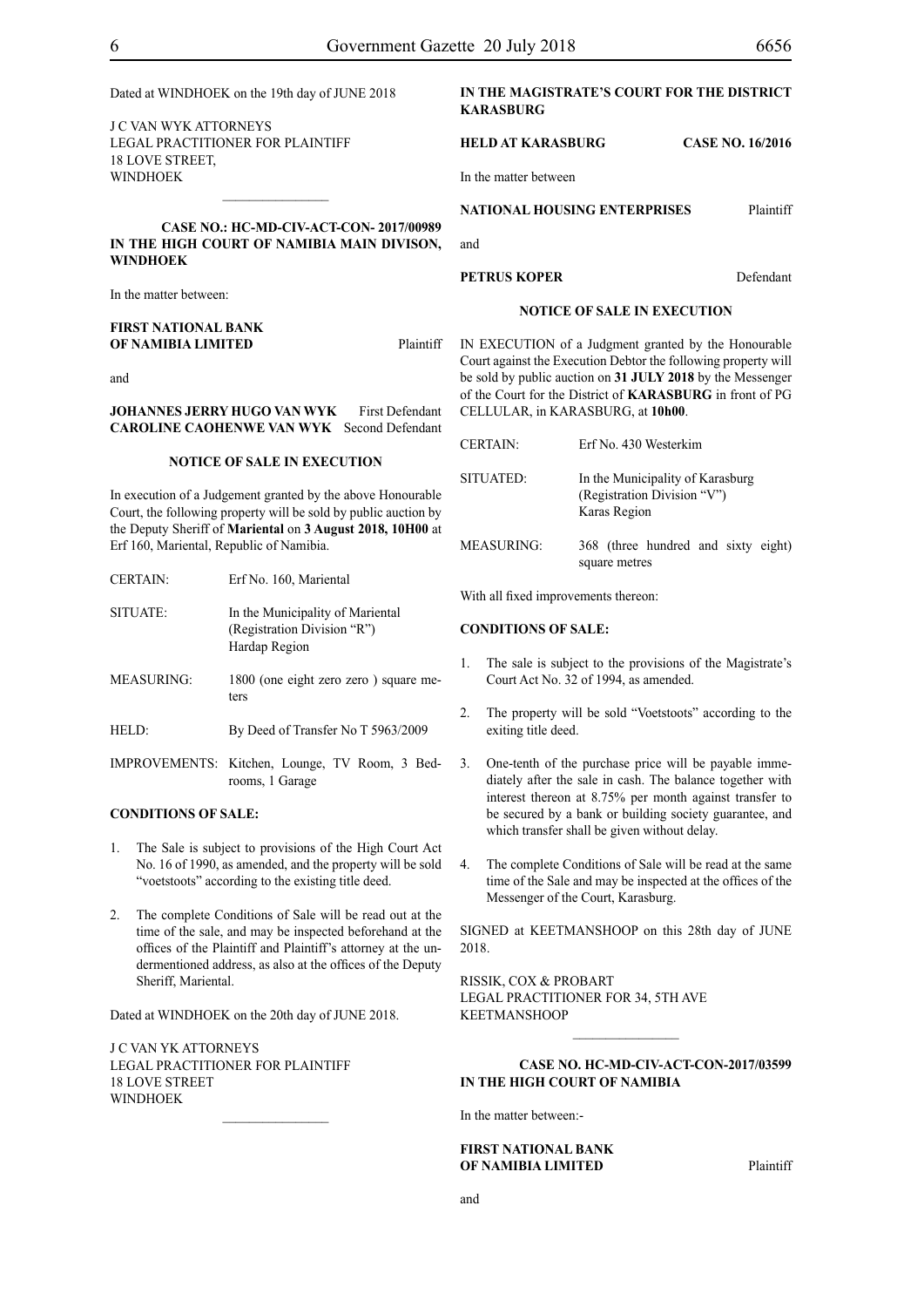| Dated at WINDHOEK on the 19th day of JUNE 2018 |  |
|------------------------------------------------|--|
|                                                |  |

J C VAN WYK ATTORNEYS Legal Practitioner for Plaintiff 18 LOVE STREET, WINDHOEK

# **CASE NO.: HC-MD-CIV-ACT-CON- 2017/00989 IN THE HIGH COURT OF NAMIBIA MAIN DIVISON, WINDHOEK**

 $\frac{1}{2}$ 

In the matter between:

#### **FIRST NATIONAL BANK OF NAMIBIA LIMITED** Plaintiff

and

#### **JOHANNES JERRY HUGO VAN WYK** First Defendant **CAROLINE CAOHENWE VAN WYK** Second Defendant

#### **NOTICE OF SALE IN EXECUTION**

In execution of a Judgement granted by the above Honourable Court, the following property will be sold by public auction by the Deputy Sheriff of **Mariental** on **3 August 2018, 10H00** at Erf 160, Mariental, Republic of Namibia.

| <b>CERTAIN:</b>   | Erf No. 160, Mariental                                                           |
|-------------------|----------------------------------------------------------------------------------|
| SITUATE:          | In the Municipality of Mariental<br>(Registration Division "R")<br>Hardap Region |
| <b>MEASURING:</b> | 1800 (one eight zero zero) square me-<br>ters                                    |
| HELD:             | By Deed of Transfer No T 5963/2009                                               |
|                   | IMPROVEMENTS: Kitchen, Lounge, TV Room, 3 Bed-<br>rooms, 1 Garage                |

### **CONDITIONS OF SALE:**

- 1. The Sale is subject to provisions of the High Court Act No. 16 of 1990, as amended, and the property will be sold "voetstoots" according to the existing title deed.
- 2. The complete Conditions of Sale will be read out at the time of the sale, and may be inspected beforehand at the offices of the Plaintiff and Plaintiff's attorney at the undermentioned address, as also at the offices of the Deputy Sheriff, Mariental.

Dated at WINDHOEK on the 20th day of JUNE 2018.

J C VAN YK ATTORNEYS Legal Practitioner for Plaintiff 18 LOVE STREET **WINDHOEK** 

# **IN THE MAGISTRATE'S COURT FOR THE DISTRICT KARASBURG**

# **HELD AT KARASBURG CASE NO. 16/2016**

In the matter between

| <b>NATIONAL HOUSING ENTERPRISES</b> | Plaintiff |
|-------------------------------------|-----------|
|                                     |           |

and

#### **PETRUS KOPER** Defendant

#### **NOTICE OF SALE IN EXECUTION**

IN EXECUTION of a Judgment granted by the Honourable Court against the Execution Debtor the following property will be sold by public auction on **31 JULY 2018** by the Messenger of the Court for the District of **KARASBURG** in front of PG CELLULAR, in KARASBURG, at **10h00**.

| <b>CERTAIN:</b>   | Erf No. 430 Westerkim                                                           |
|-------------------|---------------------------------------------------------------------------------|
| SITUATED:         | In the Municipality of Karasburg<br>(Registration Division "V")<br>Karas Region |
| <b>MEASURING:</b> | 368 (three hundred and sixty eight)<br>square metres                            |

With all fixed improvements thereon:

#### **CONDITIONS OF SALE:**

- 1. The sale is subject to the provisions of the Magistrate's Court Act No. 32 of 1994, as amended.
- 2. The property will be sold "Voetstoots" according to the exiting title deed.
- 3. One-tenth of the purchase price will be payable immediately after the sale in cash. The balance together with interest thereon at 8.75% per month against transfer to be secured by a bank or building society guarantee, and which transfer shall be given without delay.
- 4. The complete Conditions of Sale will be read at the same time of the Sale and may be inspected at the offices of the Messenger of the Court, Karasburg.

SIGNED at KEETMANSHOOP on this 28th day of JUNE 2018.

RISSIK, COX & PROBART Legal Practitioner for 34, 5th Ave KEETMANSHOOP

# **CASE No. HC-MD-CIV-ACT-CON-2017/03599 IN THE HIGH COURT OF NAMIBIA**

 $\frac{1}{2}$ 

In the matter between:-

#### **FIRST NATIONAL BANK OF NAMIBIA LIMITED** Plaintiff

and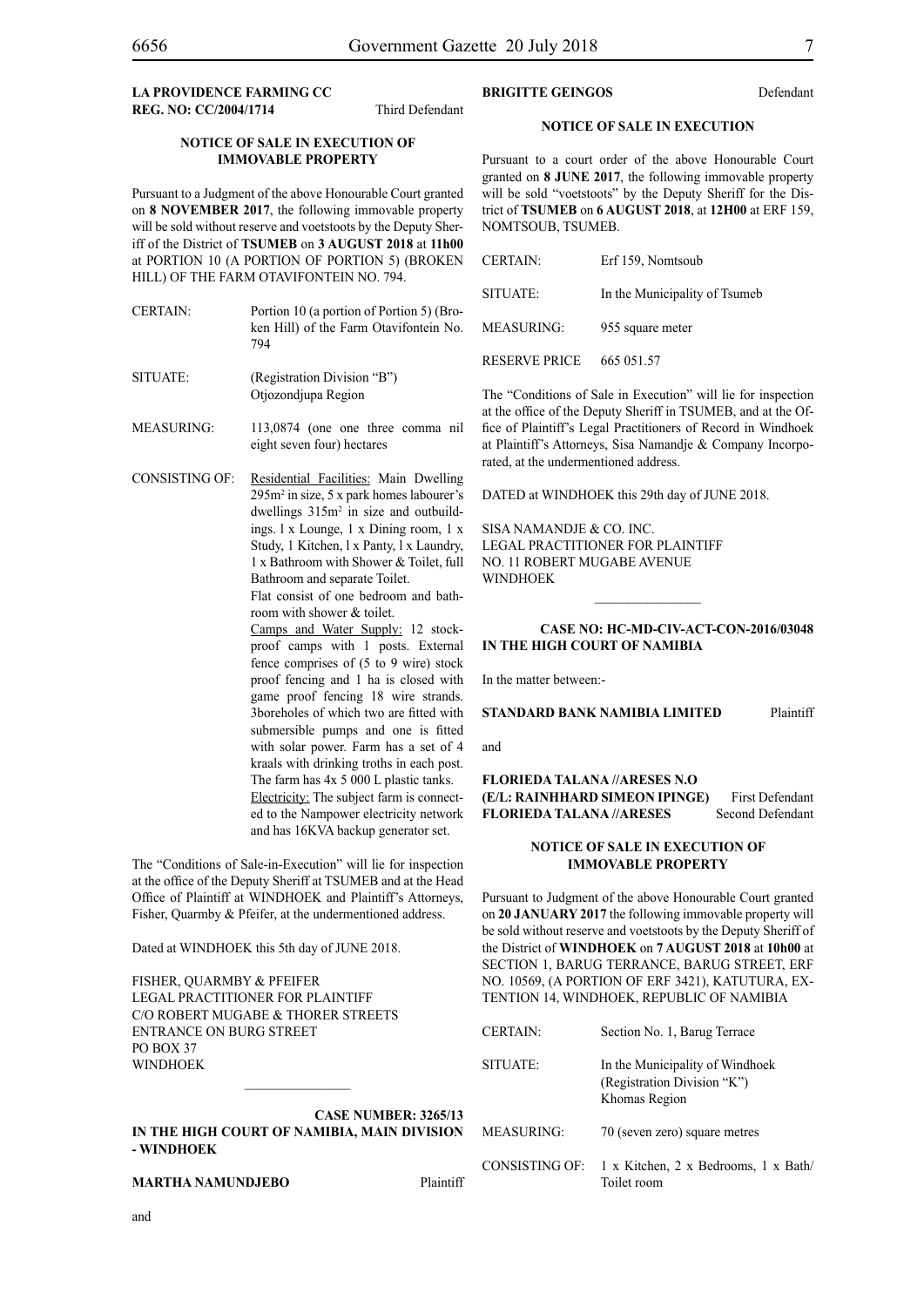**LA PROVIDENCE FARMING CC REG. NO: CC/2004/1714** Third Defendant

#### **NOTICE OF SALE IN EXECUTION OF IMMOVABLE PROPERTY**

Pursuant to a Judgment of the above Honourable Court granted on **8 NOVEMBER 2017**, the following immovable property will be sold without reserve and voetstoots by the Deputy Sheriff of the District of **TSUMEB** on **3 AUGUST 2018** at **11h00**  at PORTION 10 (A PORTION OF PORTION 5) (BROKEN HILL) OF THE FARM OTAVIFONTEIN NO. 794.

- CERTAIN: Portion 10 (a portion of Portion 5) (Broken Hill) of the Farm Otavifontein No. 794
- SITUATE: (Registration Division "B") Otjozondjupa Region
- MEASURING: 113,0874 (one one three comma nil eight seven four) hectares
- CONSISTING OF: Residential Facilities: Main Dwelling 295m2 in size, 5 x park homes labourer's dwellings  $315m^2$  in size and outbuildings. l x Lounge, 1 x Dining room, 1 x Study, 1 Kitchen, l x Panty, l x Laundry, 1 x Bathroom with Shower & Toilet, full Bathroom and separate Toilet.

Flat consist of one bedroom and bathroom with shower & toilet.

Camps and Water Supply: 12 stockproof camps with 1 posts. External fence comprises of (5 to 9 wire) stock proof fencing and 1 ha is closed with game proof fencing 18 wire strands. 3boreholes of which two are fitted with submersible pumps and one is fitted with solar power. Farm has a set of 4 kraals with drinking troths in each post. The farm has 4x 5 000 L plastic tanks. Electricity: The subject farm is connected to the Nampower electricity network and has 16KVA backup generator set.

The "Conditions of Sale-in-Execution" will lie for inspection at the office of the Deputy Sheriff at TSUMEB and at the Head Office of Plaintiff at WINDHOEK and Plaintiff's Attorneys, Fisher, Quarmby & Pfeifer, at the undermentioned address.

Dated at WINDHOEK this 5th day of JUNE 2018.

FISHER, QUARMBY & PFEIFER LEGAL PRACTITIONER FOR Plaintiff c/o Robert Mugabe & Thorer Streets entrance on Burg Street PO BOX 37 **WINDHOFK** 

### **CASE NUMBER: 3265/13 IN THE HIGH COURT OF NAMIBIA, MAIN DIVISION - WINDHOEK**

# **MARTHA NAMUNDJEBO** Plaintiff

# **BRIGITTE GEINGOS** Defendant

# **NOTICE OF SALE IN EXECUTION**

Pursuant to a court order of the above Honourable Court granted on **8 JUNE 2017**, the following immovable property will be sold "voetstoots" by the Deputy Sheriff for the District of **TSUMEB** on **6 AUGUST 2018**, at **12H00** at ERF 159, NOMTSOUB, TSUMEB.

| <b>CERTAIN:</b>      | Erf 159, Nomtsoub             |
|----------------------|-------------------------------|
| SITUATE:             | In the Municipality of Tsumeb |
| MEASURING:           | 955 square meter              |
| <b>RESERVE PRICE</b> | 665 051.57                    |

The "Conditions of Sale in Execution" will lie for inspection at the office of the Deputy Sheriff in TSUMEB, and at the Office of Plaintiff's Legal Practitioners of Record in Windhoek at Plaintiff's Attorneys, Sisa Namandje & Company Incorporated, at the undermentioned address.

DATED at WINDHOEK this 29th day of JUNE 2018.

SISA NAMANDJE & CO. INC. LEGAL PRACTITIONER FOR Plaintiff NO. 11 ROBERT MUGABE AVENUE **WINDHOEK** 

#### **CASE NO: HC-MD-CIV-ACT-CON-2016/03048 IN THE HIGH COURT OF NAMIBIA**

 $\frac{1}{2}$ 

In the matter between:-

**STANDARD BANK NAMIBIA LIMITED** Plaintiff

and

**FLORIEDA TALANA //ARESES N.O (E/L: RAINHHARD SIMEON IPINGE)** First Defendant FLORIEDA TALANA //ARESES Second Defendant

#### **NOTICE OF SALE IN EXECUTION OF IMMOVABLE PROPERTY**

Pursuant to Judgment of the above Honourable Court granted on **20 JANUARY 2017** the following immovable property will be sold without reserve and voetstoots by the Deputy Sheriff of the District of **WINDHOEK** on **7 AUGUST 2018** at **10h00** at SECTION 1, BARUG TERRANCE, BARUG STREET, ERF NO. 10569, (A PORTION OF ERF 3421), KATUTURA, EX-Tention 14, WINDHOEK, REPUBLIC OF NAMIBIA

| <b>CERTAIN:</b>   | Section No. 1, Barug Terrace                                                    |
|-------------------|---------------------------------------------------------------------------------|
| SITUATE:          | In the Municipality of Windhoek<br>(Registration Division "K")<br>Khomas Region |
| <b>MEASURING:</b> | 70 (seven zero) square metres                                                   |
| CONSISTING OF:    | 1 x Kitchen, 2 x Bedrooms, 1 x Bath<br>Toilet room                              |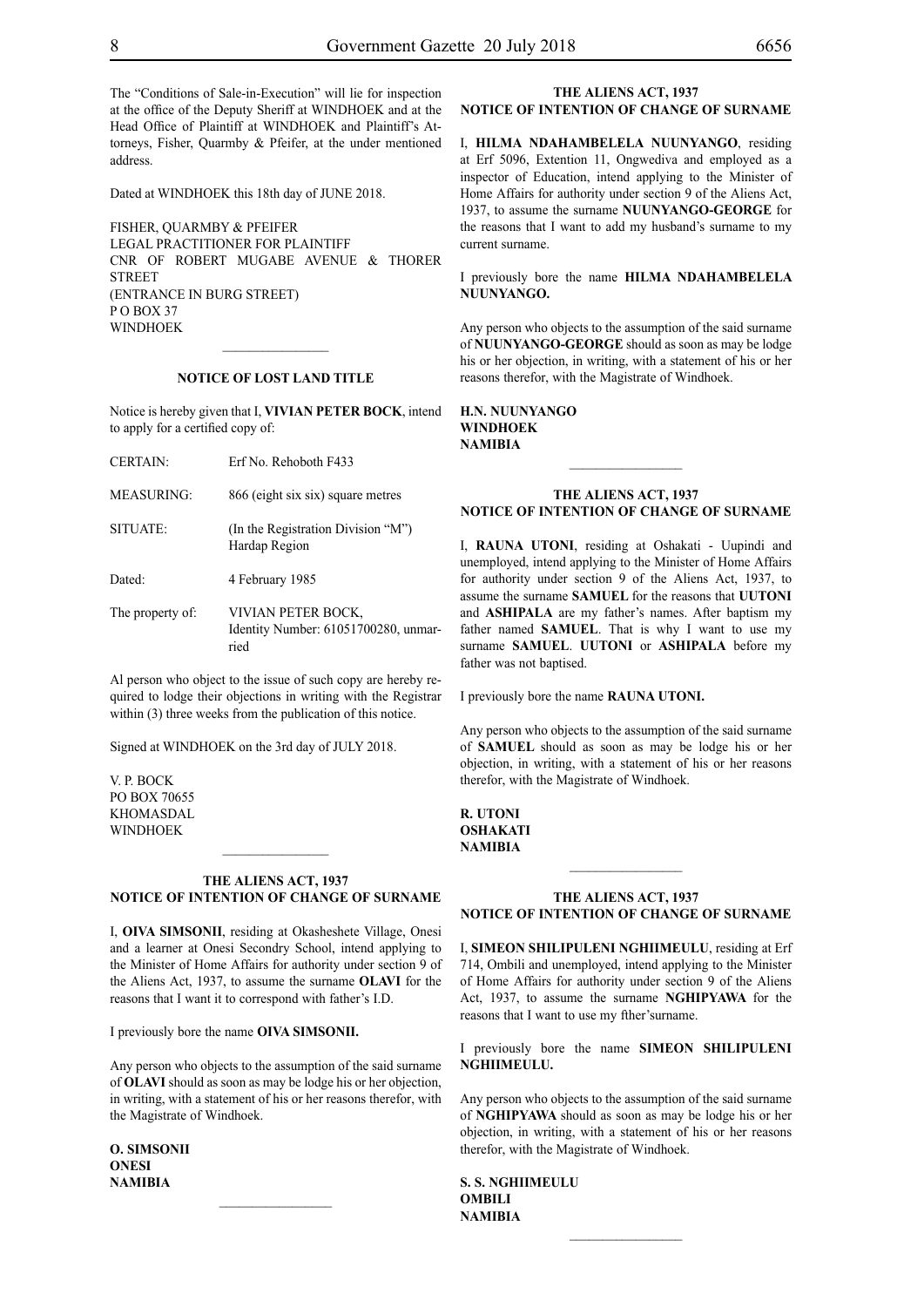The "Conditions of Sale-in-Execution" will lie for inspection at the office of the Deputy Sheriff at WINDHOEK and at the Head Office of Plaintiff at WINDHOEK and Plaintiff's Attorneys, Fisher, Quarmby & Pfeifer, at the under mentioned address.

Dated at WINDHOEK this 18th day of JUNE 2018.

FISHER, QUARMBY & PFEIFER LEGAL PRACTITIONER FOR Plaintiff Cnr of Robert Mugabe Avenue & Thorer **STREET** (entrance in Burg Street) P O Box 37 WINDHOEK

#### **NOTICE OF LOST LAND TITLE**

 $\frac{1}{2}$ 

Notice is hereby given that I, **VIVIAN PETER BOCK**, intend to apply for a certified copy of:

- CERTAIN: Erf No. Rehoboth F433
- MEASURING: 866 (eight six six) square metres
- SITUATE: (In the Registration Division "M") Hardap Region

Dated: 4 February 1985

The property of: VIVIAN PETER BOCK, Identity Number: 61051700280, unmarried

Al person who object to the issue of such copy are hereby required to lodge their objections in writing with the Registrar within (3) three weeks from the publication of this notice.

Signed at WINDHOEK on the 3rd day of JULY 2018.

V. P. BOCK PO BOX 70655 KHOMASDAL WINDHOEK

#### **THE ALIENS ACT, 1937 NOTICE OF INTENTION OF CHANGE OF SURNAME**

 $\frac{1}{2}$ 

I, **oiva simsonii**, residing at Okasheshete Village, Onesi and a learner at Onesi Secondry School, intend applying to the Minister of Home Affairs for authority under section 9 of the Aliens Act, 1937, to assume the surname **OLAVI** for the reasons that I want it to correspond with father's I.D.

I previously bore the name **oiva simsonii.**

Any person who objects to the assumption of the said surname of **olavi** should as soon as may be lodge his or her objection, in writing, with a statement of his or her reasons therefor, with the Magistrate of Windhoek.

**o. simsonii onesi NAMIBIA**

#### **THE ALIENS ACT, 1937 NOTICE OF INTENTION OF CHANGE OF SURNAME**

I, **hilma ndahambelela nuunyango**, residing at Erf 5096, Extention 11, Ongwediva and employed as a inspector of Education, intend applying to the Minister of Home Affairs for authority under section 9 of the Aliens Act, 1937, to assume the surname **nuunyango-george** for the reasons that I want to add my husband's surname to my current surname.

I previously bore the name **HILMA NDAHAMBELELA nuunyango.**

Any person who objects to the assumption of the said surname of **nuunyango-george** should as soon as may be lodge his or her objection, in writing, with a statement of his or her reasons therefor, with the Magistrate of Windhoek.

**h.n. nuunyango windhoek NAMIBIA**

#### **THE ALIENS ACT, 1937 NOTICE OF INTENTION OF CHANGE OF SURNAME**

I, RAUNA UTONI, residing at Oshakati - Uupindi and unemployed, intend applying to the Minister of Home Affairs for authority under section 9 of the Aliens Act, 1937, to assume the surname **samuel** for the reasons that **UUTONI** and **ASHIPALA** are my father's names. After baptism my father named **SAMUEL**. That is why I want to use my surname **SAMUEL**. **UUTONI** or **ASHIPALA** before my father was not baptised.

I previously bore the name **RAUNA UTONI.** 

Any person who objects to the assumption of the said surname of **SAMUEL** should as soon as may be lodge his or her objection, in writing, with a statement of his or her reasons therefor, with the Magistrate of Windhoek.

**r. utoni oshakati NAMIBIA**

#### **THE ALIENS ACT, 1937 NOTICE OF INTENTION OF CHANGE OF SURNAME**

 $\frac{1}{2}$ 

I, **simeon shilipuleni nghiimeulu**, residing at Erf 714, Ombili and unemployed, intend applying to the Minister of Home Affairs for authority under section 9 of the Aliens Act, 1937, to assume the surname **nghipyawa** for the reasons that I want to use my fther'surname.

I previously bore the name **simeon shilipuleni nghiimeulu.**

Any person who objects to the assumption of the said surname of **nghipyawa** should as soon as may be lodge his or her objection, in writing, with a statement of his or her reasons therefor, with the Magistrate of Windhoek.

 $\frac{1}{2}$ 

**s. s. nghiimeulu ombili NAMIBIA**